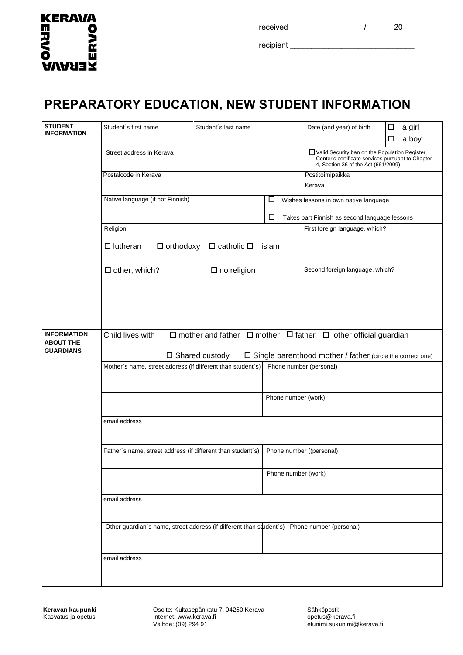

recipient

## **PREPARATORY EDUCATION, NEW STUDENT INFORMATION**

| <b>STUDENT</b><br><b>INFORMATION</b>   | Student's first name                                                                                                                                           | Student's last name                     |                          | Date (and year) of birth                                                                                                                    | a girl<br>□ |  |  |
|----------------------------------------|----------------------------------------------------------------------------------------------------------------------------------------------------------------|-----------------------------------------|--------------------------|---------------------------------------------------------------------------------------------------------------------------------------------|-------------|--|--|
|                                        |                                                                                                                                                                |                                         |                          |                                                                                                                                             | □<br>a boy  |  |  |
|                                        | Street address in Kerava                                                                                                                                       |                                         |                          | □ Valid Security ban on the Population Register<br>Center's certificate services pursuant to Chapter<br>4, Section 36 of the Act (661/2009) |             |  |  |
|                                        | Postalcode in Kerava                                                                                                                                           |                                         |                          | Postitoimipaikka                                                                                                                            |             |  |  |
|                                        |                                                                                                                                                                |                                         |                          | Kerava                                                                                                                                      |             |  |  |
|                                        | Native language (if not Finnish)<br>ш                                                                                                                          |                                         |                          | Wishes lessons in own native language                                                                                                       |             |  |  |
|                                        | $\Box$                                                                                                                                                         |                                         |                          | Takes part Finnish as second language lessons                                                                                               |             |  |  |
|                                        | Religion                                                                                                                                                       |                                         |                          | First foreign language, which?                                                                                                              |             |  |  |
|                                        | $\Box$ lutheran                                                                                                                                                | $\Box$ orthodoxy $\Box$ catholic $\Box$ | islam                    |                                                                                                                                             |             |  |  |
|                                        | $\square$ other, which?                                                                                                                                        | $\square$ no religion                   |                          | Second foreign language, which?                                                                                                             |             |  |  |
|                                        |                                                                                                                                                                |                                         |                          |                                                                                                                                             |             |  |  |
|                                        |                                                                                                                                                                |                                         |                          |                                                                                                                                             |             |  |  |
| <b>INFORMATION</b><br><b>ABOUT THE</b> | $\Box$ mother and father $\Box$ mother $\Box$ father $\Box$ other official guardian<br>Child lives with                                                        |                                         |                          |                                                                                                                                             |             |  |  |
| <b>GUARDIANS</b>                       |                                                                                                                                                                | $\square$ Shared custody                |                          |                                                                                                                                             |             |  |  |
|                                        | $\square$ Single parenthood mother / father (circle the correct one)<br>Mother's name, street address (if different than student's)<br>Phone number (personal) |                                         |                          |                                                                                                                                             |             |  |  |
|                                        |                                                                                                                                                                |                                         |                          |                                                                                                                                             |             |  |  |
|                                        |                                                                                                                                                                |                                         | Phone number (work)      |                                                                                                                                             |             |  |  |
|                                        | email address                                                                                                                                                  |                                         |                          |                                                                                                                                             |             |  |  |
|                                        |                                                                                                                                                                |                                         |                          |                                                                                                                                             |             |  |  |
|                                        | Father's name, street address (if different than student's)                                                                                                    |                                         | Phone number ((personal) |                                                                                                                                             |             |  |  |
|                                        |                                                                                                                                                                |                                         | Phone number (work)      |                                                                                                                                             |             |  |  |
|                                        | email address                                                                                                                                                  |                                         |                          |                                                                                                                                             |             |  |  |
|                                        | Other guardian's name, street address (if different than student's) Phone number (personal)                                                                    |                                         |                          |                                                                                                                                             |             |  |  |
|                                        | email address                                                                                                                                                  |                                         |                          |                                                                                                                                             |             |  |  |
|                                        |                                                                                                                                                                |                                         |                          |                                                                                                                                             |             |  |  |

**Keravan kaupunki C**osoite: Kultasepänkatu 7, 04250 Kerava Sähköposti:<br>Kasvatus ja opetus **Sahköposti:** Internet: www.kerava.fi Internet: www.kerava.fi<br>Vaihde: (09) 294 91